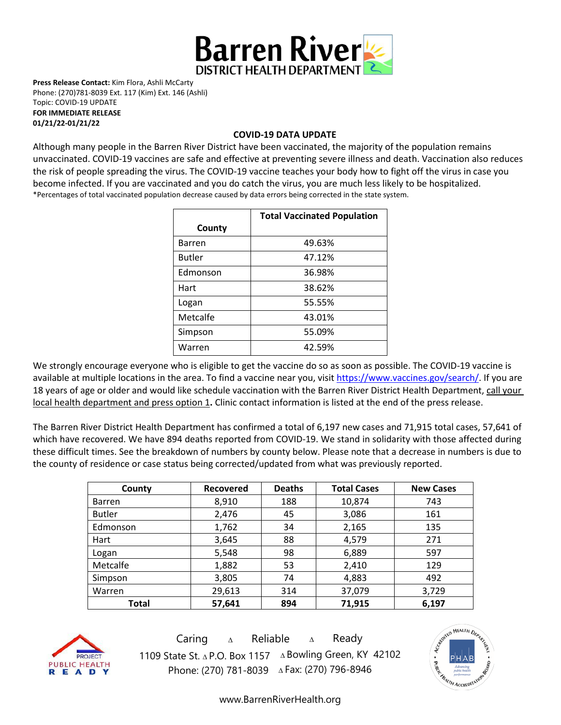

**Press Release Contact:** Kim Flora, Ashli McCarty Phone: (270)781-8039 Ext. 117 (Kim) Ext. 146 (Ashli) Topic: COVID-19 UPDATE **FOR IMMEDIATE RELEASE** 

**01/21/22-01/21/22**

## **COVID-19 DATA UPDATE**

Although many people in the Barren River District have been vaccinated, the majority of the population remains unvaccinated. COVID-19 vaccines are [safe and effective](https://www.cdc.gov/coronavirus/2019-ncov/vaccines/effectiveness.html) at preventing severe illness and death. Vaccination also reduces the risk of people spreading the virus. The COVID-19 vaccine teaches your body how to fight off the virus in case you become infected. If you are vaccinated and you do catch the virus, you are much less likely to be hospitalized. \*Percentages of total vaccinated population decrease caused by data errors being corrected in the state system.

|               | <b>Total Vaccinated Population</b> |  |  |
|---------------|------------------------------------|--|--|
| County        |                                    |  |  |
| <b>Barren</b> | 49.63%                             |  |  |
| <b>Butler</b> | 47.12%                             |  |  |
| Edmonson      | 36.98%                             |  |  |
| Hart          | 38.62%                             |  |  |
| Logan         | 55.55%                             |  |  |
| Metcalfe      | 43.01%                             |  |  |
| Simpson       | 55.09%                             |  |  |
| Warren        | 42.59%                             |  |  |

We strongly encourage everyone who is eligible to get the vaccine do so as soon as possible. The COVID-19 vaccine is available at multiple locations in the area. To find a vaccine near you, visi[t https://www.vaccines.gov/search/.](https://www.vaccines.gov/search/) If you are 18 years of age or older and would like schedule vaccination with the Barren River District Health Department, call your local health department and press option 1**.** Clinic contact information is listed at the end of the press release.

The Barren River District Health Department has confirmed a total of 6,197 new cases and 71,915 total cases, 57,641 of which have recovered. We have 894 deaths reported from COVID-19. We stand in solidarity with those affected during these difficult times. See the breakdown of numbers by county below. Please note that a decrease in numbers is due to the county of residence or case status being corrected/updated from what was previously reported.

| County        | <b>Recovered</b> | <b>Deaths</b> | <b>Total Cases</b> | <b>New Cases</b> |
|---------------|------------------|---------------|--------------------|------------------|
| <b>Barren</b> | 8,910            | 188           | 10,874             | 743              |
| <b>Butler</b> | 2,476            | 45            | 3,086              | 161              |
| Edmonson      | 1,762            | 34            | 2,165              | 135              |
| Hart          | 3,645            | 88            | 4,579              | 271              |
| Logan         | 5,548            | 98            | 6,889              | 597              |
| Metcalfe      | 1,882            | 53            | 2,410              | 129              |
| Simpson       | 3,805            | 74            | 4,883              | 492              |
| Warren        | 29,613           | 314           | 37,079             | 3,729            |
| Total         | 57,641           | 894           | 71,915             | 6,197            |



Caring <sup>∆</sup> Reliable <sup>∆</sup> Ready 1109 State St. ∆ P.O. Box 1157 ∆ Bowling Green, KY 42102 Phone: (270) 781-8039 ∆Fax: (270) 796-8946



[www.BarrenRiverHealth.org](http://www.barrenriverhealth.org/)